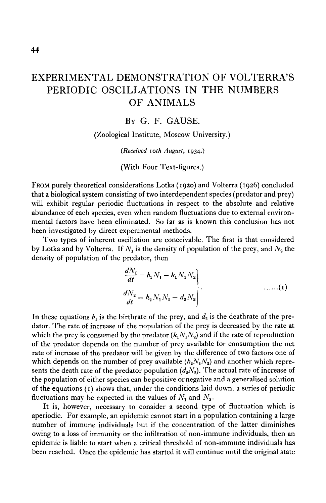## EXPERIMENTAL DEMONSTRATION OF VOLTERRA'S PERIODIC OSCILLATIONS IN THE NUMBERS OF ANIMALS

## BY G. F. GAUSE.

(Zoological Institute, Moscow University.)

*(Received 10th August,* 1934.)

(With Four Text-figures.)

FROM purely theoretical considerations Lotka (1920) and Volterra (1926) concluded that a biological system consisting of two interdependent species (predator and prey) will exhibit regular periodic fluctuations in respect to the absolute and relative abundance of each species, even when random fluctuations due to external environmental factors have been eliminated. So far as is known this conclusion has not been investigated by direct experimental methods.

Two types of inherent oscillation are conceivable. The first is that considered by Lotka and by Volterra. If  $N_1$  is the density of population of the prey, and  $N_2$  the density of population of the predator, then

$$
\begin{aligned}\n\frac{dN_1}{dt} &= b_1 N_1 - k_1 N_1 N_2 \\
\frac{dN_2}{dt} &= k_2 N_1 N_2 - d_2 N_2\n\end{aligned}\n\tag{1}
$$

In these equations  $b_1$  is the birthrate of the prey, and  $d_2$  is the deathrate of the predator. The rate of increase of the population of the prey is decreased by the rate at which the prey is consumed by the predator  $(k_1 N_1 N_2)$  and if the rate of reproduction of the predator depends on the number of prey available for consumption the net rate of increase of the predator will be given by the difference of two factors one of which depends on the number of prey available  $(k_2N_1N_2)$  and another which represents the death rate of the predator population  $(d_2N_2)$ . The actual rate of increase of the population of either species can be positive or negative and a generalised solution of the equations (1) shows that, under the conditions laid down, a series of periodic fluctuations may be expected in the values of  $N_1$  and  $N_2$ .

It is, however, necessary to consider a second type of fluctuation which is aperiodic. For example, an epidemic cannot start in a population containing a large number of immune individuals but if the concentration of the latter diminishes owing to a loss of immunity or the infiltration of non-immune individuals, then an epidemic is liable to start when a critical threshold of non-immune individuals has been reached. Once the epidemic has started it will continue until the original state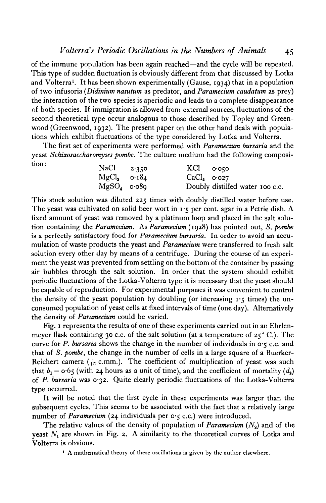of the immune population has been again reached—and the cycle will be repeated. This type of sudden fluctuation is obviously different from that discussed by Lotka and Volterra<sup>1</sup> . It has been shown experimentally (Gause, 1934) that in a population of two infusoria *(Didinium nasutum* as predator, and *Paramedum caudatum* as prey) the interaction of the two species is aperiodic and leads to a complete disappearance of both species. If immigration is allowed from external sources, fluctuations of the second theoretical type occur analogous to those described by Topley and Greenwood (Greenwood, 1932). The present paper on the other hand deals with populations which exhibit fluctuations of the type considered by Lotka and Volterra.

The first set of experiments were performed with *Paramedum bursaria* and the yeast *Schizosaccharomyses pombe.* The culture medium had the following composition:

| $NaCl$ 2.350  | $KCl$ $0.050$ |                                 |
|---------------|---------------|---------------------------------|
| $MgCl2$ 0.184 | $CaCl3$ 0.027 |                                 |
| $MgSO4$ 0.089 |               | Doubly distilled water 100 c.c. |

This stock solution was diluted 225 times with doubly distilled water before use. The yeast was cultivated on solid beer wort in  $\mathbf{r} \cdot \mathbf{\varsigma}$  per cent, agar in a Petrie dish. A fixed amount of yeast was removed by a platinum loop and placed in the salt solution containing the *Paramedum.* As *Paramedum* (1928) has pointed out, *S. pombe* is a perfectly satisfactory food for *Paramecitan bursaria.* In order to avoid an accumulation of waste products the yeast and *Paramecium* were transferred to fresh salt solution every other day by means of a centrifuge. During the course of an experiment the yeast was prevented from settling on the bottom of the container by passing air bubbles through the salt solution. In order that the system should exhibit periodic fluctuations of the Lotka-Volterra type it is necessary that the yeast should be capable of reproduction. For experimental purposes it was convenient to control the density of the yeast population by doubling (or increasing  $1.5$  times) the unconsumed population of yeast cells at fixed intervals of time (one day). Alternatively the density of Paramecium could be varied.

Fig. 1 represents the results of one of these experiments carried out in an Ehrlenmeyer flask containing 30 c.c. of the salt solution (at a temperature of 25°C.). The curve for  $P$ . bursaria shows the change in the number of individuals in  $\circ \cdot \cdot \infty$ .c. and that of 5. *pombe,* the change in the number of cells in a large square of a Buerker-Reichert camera ( $^{1}_{10}$  c.mm.). The coefficient of multiplication of yeast was such that  $b_1 = 0.65$  (with 24 hours as a unit of time), and the coefficient of mortality  $(d_2)$ of *P. bursaria* was 0-32. Quite clearly periodic fluctuations of the Lotka-Volterra type occurred.

It will be noted that the first cycle in these experiments was larger than the subsequent cycles. This seems to be associated with the fact that a relatively large number of *Paramecium* (24 individuals per  $o \cdot \zeta$  c.c.) were introduced.

The relative values of the density of population of *Paramecium*  $(N_2)$  and of the yeast  $N_1$  are shown in Fig. 2. A similarity to the theoretical curves of Lotka and Volterra is obvious.

<sup>1</sup> A mathematical theory of these oscillations is given by the author elsewhere.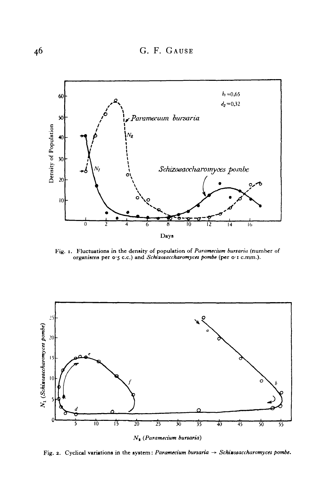

Fig. 1. Fluctuations in the density of population of Paramecium bursaria (number of organisms per 0-5 c.c.) and *Schixosaccharomyces pombe* (per 0 1 c.mm.).



Fig. 2. Cyclical variations in the system: Paramecium bursaria  $\rightarrow$  Schixosaccharomyces pombe.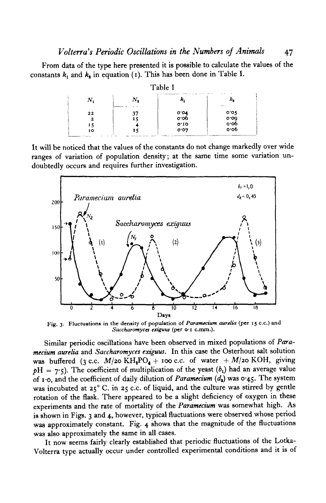From data of the type here presented it is possible to calculate the values of the constants  $k_1$  and  $k_2$  in equation (1). This has been done in Table I.

|                     |                | Table I              |                                |
|---------------------|----------------|----------------------|--------------------------------|
| Ν,                  | N.             | ĸ,                   | --                             |
| 22<br>2<br>15<br>10 | 37<br>15<br>15 | 0.04<br>0.10<br>0.07 | $0.05$<br>0.09<br>0.06<br>0.06 |

It will be noticed that the values of the constants do not change markedly over wide ranges of variation of population density; at the same time some variation undoubtedly occurs and requires further investigation.



**Fig. 3. Fluctuations in the density of population of** *Paramecium aurelia* **(per 15 c.c.) and** *Saccharomyca exiguus* **(per o-i c.mm.).**

Similar periodic oscillations have been observed in mixed populations of *Paramecium aurelia* and *Saccharomyces exiguus.* In this case the Osterhout salt solution was buffered (3 c.c.  $M$ /20 KH<sub>2</sub>PO<sub>4</sub> + 100 c.c. of water +  $M$ /20 KOH, giving  $pH = 7.5$ ). The coefficient of multiplication of the yeast  $(b_1)$  had an average value of i-o, and the coefficient of daily dilution of *Paramecium (a\)* was 0-45. The system was incubated at 25° C. in 25 c.c. of liquid, and the culture was stirred by gentle rotation of the flask. There appeared to be a slight deficiency of oxygen in these experiments and the rate of mortality of the *Paramecium* was somewhat high. As is shown in Figs. 3 and 4, however, typical fluctuations were observed whose period was approximately constant. Fig. 4 shows that the magnitude of the fluctuations was also approximately the same in all cases.

It now seems fairly clearly established that periodic fluctuations of the Lotka-Volterra type actually occur under controlled experimental conditions and it is of